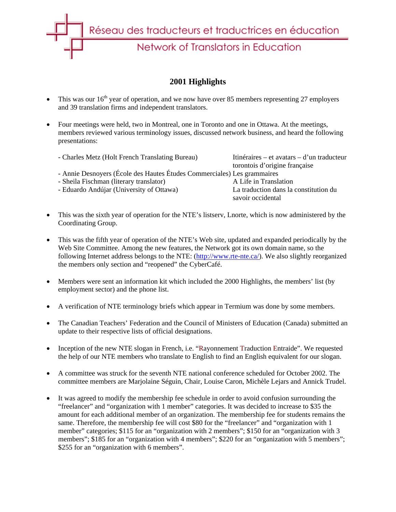

## **2001 Highlights**

- This was our  $16<sup>th</sup>$  year of operation, and we now have over 85 members representing 27 employers and 39 translation firms and independent translators.
- Four meetings were held, two in Montreal, one in Toronto and one in Ottawa. At the meetings, members reviewed various terminology issues, discussed network business, and heard the following presentations:

| - Charles Metz (Holt French Translating Bureau)                         | Itinéraires – et avatars – d'un traducteur                 |  |
|-------------------------------------------------------------------------|------------------------------------------------------------|--|
|                                                                         | torontois d'origine française                              |  |
| - Annie Desnoyers (École des Hautes Études Commerciales) Les grammaires |                                                            |  |
| - Sheila Fischman (literary translator)                                 | A Life in Translation                                      |  |
| - Eduardo Andújar (University of Ottawa)                                | La traduction dans la constitution du<br>savoir occidental |  |
|                                                                         |                                                            |  |

- This was the sixth year of operation for the NTE's listserv, Lnorte, which is now administered by the Coordinating Group.
- This was the fifth year of operation of the NTE's Web site, updated and expanded periodically by the Web Site Committee. Among the new features, the Network got its own domain name, so the following Internet address belongs to the NTE: (http://www.rte-nte.ca/). We also slightly reorganized the members only section and "reopened" the CyberCafé.
- Members were sent an information kit which included the 2000 Highlights, the members' list (by employment sector) and the phone list.
- A verification of NTE terminology briefs which appear in Termium was done by some members.
- The Canadian Teachers' Federation and the Council of Ministers of Education (Canada) submitted an update to their respective lists of official designations.
- Inception of the new NTE slogan in French, i.e. "Rayonnement Traduction Entraide". We requested the help of our NTE members who translate to English to find an English equivalent for our slogan.
- A committee was struck for the seventh NTE national conference scheduled for October 2002. The committee members are Marjolaine Séguin, Chair, Louise Caron, Michèle Lejars and Annick Trudel.
- It was agreed to modify the membership fee schedule in order to avoid confusion surrounding the "freelancer" and "organization with 1 member" categories. It was decided to increase to \$35 the amount for each additional member of an organization. The membership fee for students remains the same. Therefore, the membership fee will cost \$80 for the "freelancer" and "organization with 1 member" categories; \$115 for an "organization with 2 members"; \$150 for an "organization with 3 members"; \$185 for an "organization with 4 members"; \$220 for an "organization with 5 members"; \$255 for an "organization with 6 members".